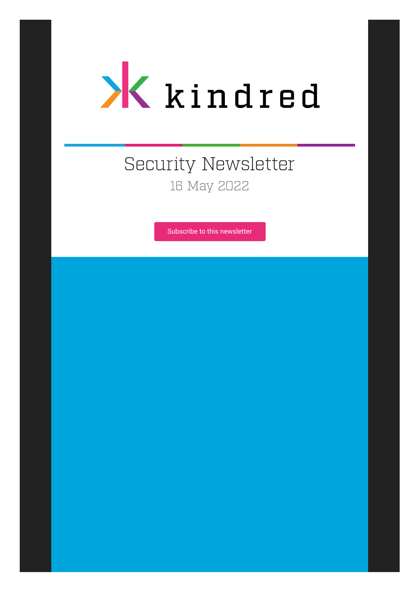

# Security Newsletter 16 May 2022

[Subscribe to this newsletter](https://news.infosecgur.us/register)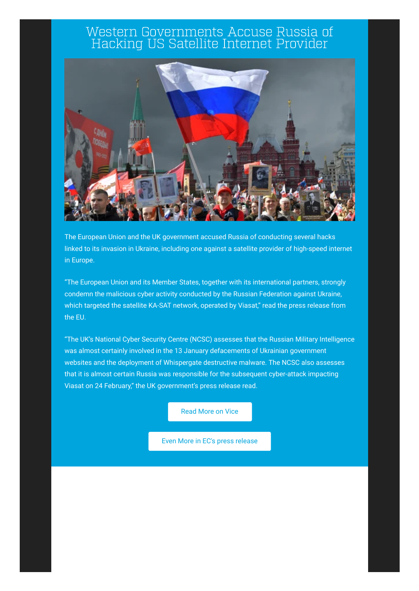#### Western Governments Accuse Russia of Hacking US Satellite Internet Provider



The European Union and the UK government accused Russia of conducting several hacks linked to its invasion in Ukraine, including one against a satellite provider of high-speed internet in Europe.

"The European Union and its Member States, together with its international partners, strongly condemn the malicious cyber activity conducted by the Russian Federation against Ukraine, which targeted the satellite KA-SAT network, operated by Viasat," read the press release from the EU.

"The UK's National Cyber Security Centre (NCSC) assesses that the Russian Military Intelligence was almost certainly involved in the 13 January defacements of Ukrainian government websites and the deployment of Whispergate destructive malware. The NCSC also assesses that it is almost certain Russia was responsible for the subsequent cyber-attack impacting Viasat on 24 February," the UK government's press release read.

[Read More on Vice](https://www.vice.com/en/article/93bpvd/western-governments-accuse-russia-of-hacking-us-satellite-internet-provider)

[Even More in EC's press release](https://www.consilium.europa.eu/en/press/press-releases/2022/05/10/russian-cyber-operations-against-ukraine-declaration-by-the-high-representative-on-behalf-of-the-european-union/)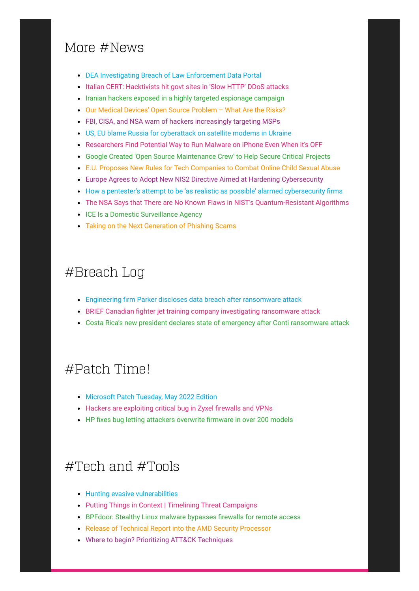## More #News

- [DEA Investigating Breach of Law Enforcement Data Portal](https://krebsonsecurity.com/2022/05/dea-investigating-breach-of-law-enforcement-data-portal/)
- [Italian CERT: Hacktivists hit govt sites in 'Slow HTTP' DDoS attacks](https://www.bleepingcomputer.com/news/security/italian-cert-hacktivists-hit-govt-sites-in-slow-http-ddos-attacks/)
- [Iranian hackers exposed in a highly targeted espionage campaign](https://www.bleepingcomputer.com/news/security/iranian-hackers-exposed-in-a-highly-targeted-espionage-campaign/)
- [Our Medical Devices' Open Source Problem What Are the Risks?](https://www.bleepingcomputer.com/news/security/our-medical-devices-open-source-problem-what-are-the-risks/)
- [FBI, CISA, and NSA warn of hackers increasingly targeting MSPs](https://www.bleepingcomputer.com/news/security/fbi-cisa-and-nsa-warn-of-hackers-increasingly-targeting-msps/)
- [US, EU blame Russia for cyberattack on satellite modems in Ukraine](https://www.bleepingcomputer.com/news/security/us-eu-blame-russia-for-cyberattack-on-satellite-modems-in-ukraine/)
- [Researchers Find Potential Way to Run Malware on iPhone Even When it's OFF](https://thehackernews.com/2022/05/researchers-find-way-to-run-malware-on.html)
- [Google Created 'Open Source Maintenance Crew' to Help Secure Critical Projects](https://thehackernews.com/2022/05/google-created-open-source-maintenance.html)
- [E.U. Proposes New Rules for Tech Companies to Combat Online Child Sexual Abuse](https://thehackernews.com/2022/05/eu-proposes-new-rules-for-tech.html)
- [Europe Agrees to Adopt New NIS2 Directive Aimed at Hardening Cybersecurity](https://thehackernews.com/2022/05/europe-agrees-to-adopt-new-nis2.html)
- [How a pentester's attempt to be 'as realistic as possible' alarmed cybersecurity firms](https://therecord.media/how-a-pentesters-attempt-to-be-as-realistic-as-possible-alarmed-cybersecurity-firms/)
- [The NSA Says that There are No Known Flaws in NIST's Quantum-Resistant Algorithms](https://www.schneier.com/blog/archives/2022/05/the-nsa-says-that-there-are-no-known-flaws-in-nists-quantum-resistant-algorithms.html)
- [ICE Is a Domestic Surveillance Agency](https://www.schneier.com/blog/archives/2022/05/ice-is-a-domestic-surveillance-agency.html)
- [Taking on the Next Generation of Phishing Scams](https://security.googleblog.com/2022/05/taking-on-next-generation-of-phishing.html)

#### #Breach Log

- [Engineering firm Parker discloses data breach after ransomware attack](https://www.bleepingcomputer.com/news/security/engineering-firm-parker-discloses-data-breach-after-ransomware-attack/)
- [BRIEF Canadian fighter jet training company investigating ransomware attack](https://therecord.media/top-aces-ransomware-attack-lockbit/)
- [Costa Rica's new president declares state of emergency after Conti ransomware attack](https://therecord.media/costa-ricas-new-president-declares-state-of-emergency-after-conti-ransomware-attack/)

## #Patch Time!

- [Microsoft Patch Tuesday, May 2022 Edition](https://krebsonsecurity.com/2022/05/microsoft-patch-tuesday-may-2022-edition/)
- [Hackers are exploiting critical bug in Zyxel firewalls and VPNs](https://www.bleepingcomputer.com/news/security/hackers-are-exploiting-critical-bug-in-zyxel-firewalls-and-vpns/)
- [HP fixes bug letting attackers overwrite firmware in over 200 models](https://www.bleepingcomputer.com/news/security/hp-fixes-bug-letting-attackers-overwrite-firmware-in-over-200-models/)

## #Tech and #Tools

- **[Hunting evasive vulnerabilities](https://portswigger.net/research/hunting-evasive-vulnerabilities)**
- [Putting Things in Context | Timelining Threat Campaigns](https://www.sentinelone.com/labs/putting-things-in-context-timelining-threat-campaigns/)
- [BPFdoor: Stealthy Linux malware bypasses firewalls for remote access](https://www.bleepingcomputer.com/news/security/bpfdoor-stealthy-linux-malware-bypasses-firewalls-for-remote-access/)
- [Release of Technical Report into the AMD Security Processor](https://googleprojectzero.blogspot.com/2022/05/release-of-technical-report-into-amd.html)
- [Where to begin? Prioritizing ATT&CK Techniques](https://medium.com/mitre-engenuity/where-to-begin-prioritizing-att-ck-techniques-c535b50983f4)